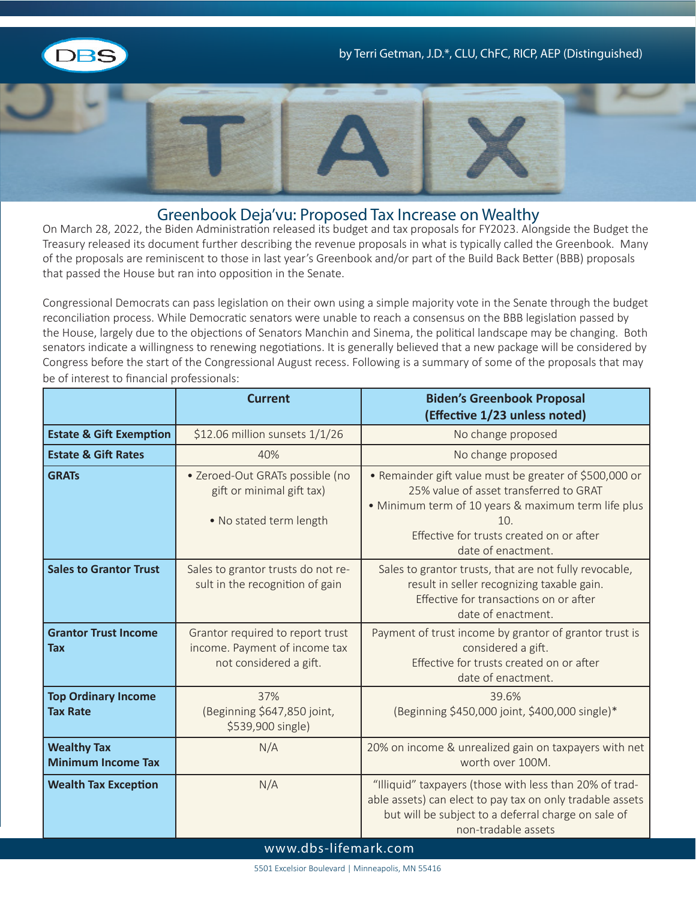



## Greenbook Deja'vu: Proposed Tax Increase on Wealthy

On March 28, 2022, the Biden Administration released its budget and tax proposals for FY2023. Alongside the Budget the Treasury released its document further describing the revenue proposals in what is typically called the Greenbook. Many of the proposals are reminiscent to those in last year's Greenbook and/or part of the Build Back Better (BBB) proposals that passed the House but ran into opposition in the Senate.

Congressional Democrats can pass legislation on their own using a simple majority vote in the Senate through the budget reconciliation process. While Democratic senators were unable to reach a consensus on the BBB legislation passed by the House, largely due to the objections of Senators Manchin and Sinema, the political landscape may be changing. Both senators indicate a willingness to renewing negotiations. It is generally believed that a new package will be considered by Congress before the start of the Congressional August recess. Following is a summary of some of the proposals that may be of interest to financial professionals:

|                                                 | <b>Current</b>                                                                              | <b>Biden's Greenbook Proposal</b><br>(Effective 1/23 unless noted)                                                                                                                                         |  |
|-------------------------------------------------|---------------------------------------------------------------------------------------------|------------------------------------------------------------------------------------------------------------------------------------------------------------------------------------------------------------|--|
| <b>Estate &amp; Gift Exemption</b>              | \$12.06 million sunsets 1/1/26                                                              | No change proposed                                                                                                                                                                                         |  |
| <b>Estate &amp; Gift Rates</b>                  | 40%                                                                                         | No change proposed                                                                                                                                                                                         |  |
| <b>GRATs</b>                                    | · Zeroed-Out GRATs possible (no<br>gift or minimal gift tax)<br>. No stated term length     | • Remainder gift value must be greater of \$500,000 or<br>25% value of asset transferred to GRAT<br>• Minimum term of 10 years & maximum term life plus<br>10.<br>Effective for trusts created on or after |  |
| <b>Sales to Grantor Trust</b>                   | Sales to grantor trusts do not re-<br>sult in the recognition of gain                       | date of enactment.<br>Sales to grantor trusts, that are not fully revocable,<br>result in seller recognizing taxable gain.<br>Effective for transactions on or after<br>date of enactment.                 |  |
| <b>Grantor Trust Income</b><br><b>Tax</b>       | Grantor required to report trust<br>income. Payment of income tax<br>not considered a gift. | Payment of trust income by grantor of grantor trust is<br>considered a gift.<br>Effective for trusts created on or after<br>date of enactment.                                                             |  |
| <b>Top Ordinary Income</b><br><b>Tax Rate</b>   | 37%<br>(Beginning \$647,850 joint,<br>\$539,900 single)                                     | 39.6%<br>(Beginning \$450,000 joint, \$400,000 single)*                                                                                                                                                    |  |
| <b>Wealthy Tax</b><br><b>Minimum Income Tax</b> | N/A                                                                                         | 20% on income & unrealized gain on taxpayers with net<br>worth over 100M.                                                                                                                                  |  |
| <b>Wealth Tax Exception</b>                     | N/A                                                                                         | "Illiquid" taxpayers (those with less than 20% of trad-<br>able assets) can elect to pay tax on only tradable assets<br>but will be subject to a deferral charge on sale of<br>non-tradable assets         |  |
| www.dbs-lifemark.com                            |                                                                                             |                                                                                                                                                                                                            |  |

5501 Excelsior Boulevard | Minneapolis, MN 55416